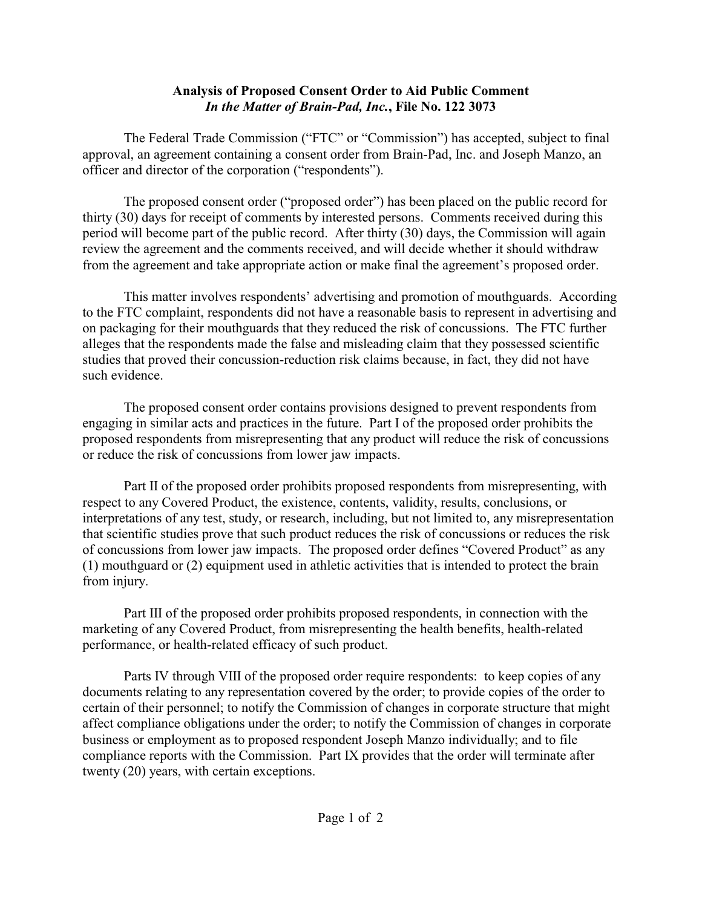## **Analysis of Proposed Consent Order to Aid Public Comment** *In the Matter of Brain-Pad, Inc.***, File No. 122 3073**

The Federal Trade Commission ("FTC" or "Commission") has accepted, subject to final approval, an agreement containing a consent order from Brain-Pad, Inc. and Joseph Manzo, an officer and director of the corporation ("respondents").

The proposed consent order ("proposed order") has been placed on the public record for thirty (30) days for receipt of comments by interested persons. Comments received during this period will become part of the public record. After thirty (30) days, the Commission will again review the agreement and the comments received, and will decide whether it should withdraw from the agreement and take appropriate action or make final the agreement's proposed order.

This matter involves respondents' advertising and promotion of mouthguards. According to the FTC complaint, respondents did not have a reasonable basis to represent in advertising and on packaging for their mouthguards that they reduced the risk of concussions. The FTC further alleges that the respondents made the false and misleading claim that they possessed scientific studies that proved their concussion-reduction risk claims because, in fact, they did not have such evidence.

The proposed consent order contains provisions designed to prevent respondents from engaging in similar acts and practices in the future. Part I of the proposed order prohibits the proposed respondents from misrepresenting that any product will reduce the risk of concussions or reduce the risk of concussions from lower jaw impacts.

Part II of the proposed order prohibits proposed respondents from misrepresenting, with respect to any Covered Product, the existence, contents, validity, results, conclusions, or interpretations of any test, study, or research, including, but not limited to, any misrepresentation that scientific studies prove that such product reduces the risk of concussions or reduces the risk of concussions from lower jaw impacts. The proposed order defines "Covered Product" as any (1) mouthguard or (2) equipment used in athletic activities that is intended to protect the brain from injury.

Part III of the proposed order prohibits proposed respondents, in connection with the marketing of any Covered Product, from misrepresenting the health benefits, health-related performance, or health-related efficacy of such product.

Parts IV through VIII of the proposed order require respondents: to keep copies of any documents relating to any representation covered by the order; to provide copies of the order to certain of their personnel; to notify the Commission of changes in corporate structure that might affect compliance obligations under the order; to notify the Commission of changes in corporate business or employment as to proposed respondent Joseph Manzo individually; and to file compliance reports with the Commission. Part IX provides that the order will terminate after twenty (20) years, with certain exceptions.